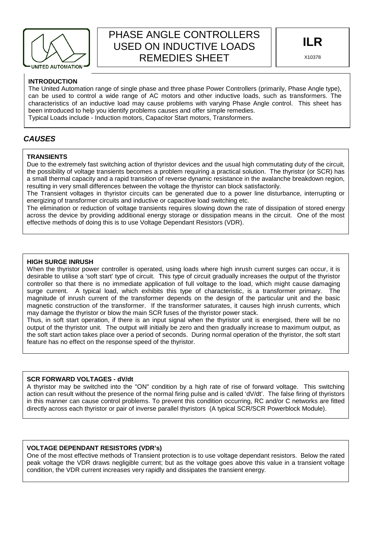

# PHASE ANGLE CONTROLLERS USED ON INDUCTIVE LOADS REMEDIES SHEET

#### **INTRODUCTION**

The United Automation range of single phase and three phase Power Controllers (primarily, Phase Angle type), can be used to control a wide range of AC motors and other inductive loads, such as transformers. The characteristics of an inductive load may cause problems with varying Phase Angle control. This sheet has been introduced to help you identify problems causes and offer simple remedies. Typical Loads include - Induction motors, Capacitor Start motors, Transformers.

## **CAUSES**

#### **TRANSIENTS**

Due to the extremely fast switching action of thyristor devices and the usual high commutating duty of the circuit, the possibility of voltage transients becomes a problem requiring a practical solution. The thyristor (or SCR) has a small thermal capacity and a rapid transition of reverse dynamic resistance in the avalanche breakdown region, resulting in very small differences between the voltage the thyristor can block satisfactorily.

The Transient voltages in thyristor circuits can be generated due to a power line disturbance, interrupting or energizing of transformer circuits and inductive or capacitive load switching etc.

The elimination or reduction of voltage transients requires slowing down the rate of dissipation of stored energy across the device by providing additional energy storage or dissipation means in the circuit. One of the most effective methods of doing this is to use Voltage Dependant Resistors (VDR).

#### **HIGH SURGE INRUSH**

When the thyristor power controller is operated, using loads where high inrush current surges can occur, it is desirable to utilise a 'soft start' type of circuit. This type of circuit gradually increases the output of the thyristor controller so that there is no immediate application of full voltage to the load, which might cause damaging surge current. A typical load, which exhibits this type of characteristic, is a transformer primary. The magnitude of inrush current of the transformer depends on the design of the particular unit and the basic magnetic construction of the transformer. If the transformer saturates, it causes high inrush currents, which may damage the thyristor or blow the main SCR fuses of the thyristor power stack.

Thus, in soft start operation, if there is an input signal when the thyristor unit is energised, there will be no output of the thyristor unit. The output will initially be zero and then gradually increase to maximum output, as the soft start action takes place over a period of seconds. During normal operation of the thyristor, the soft start feature has no effect on the response speed of the thyristor.

#### **SCR FORWARD VOLTAGES - dV/dt**

directly across each thyristor or pair of inverse parallel thyristors (A typical SCR/SCR Powerblock Module). A thyristor may be switched into the "ON" condition by a high rate of rise of forward voltage. This switching action can result without the presence of the normal firing pulse and is called 'dV/dt'. The false firing of thyristors in this manner can cause control problems. To prevent this condition occurring, RC and/or C networks are fitted

#### **VOLTAGE DEPENDANT RESISTORS (VDR's)**

One of the most effective methods of Transient protection is to use voltage dependant resistors. Below the rated peak voltage the VDR draws negligible current; but as the voltage goes above this value in a transient voltage condition, the VDR current increases very rapidly and dissipates the transient energy.